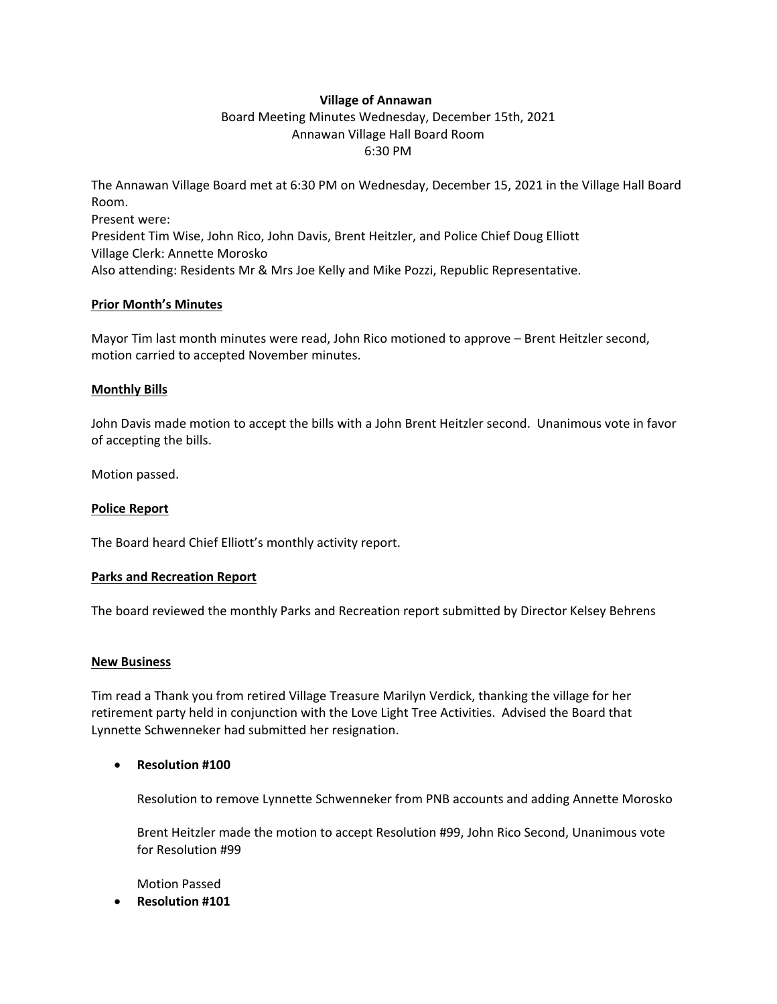## **Village of Annawan**

# Board Meeting Minutes Wednesday, December 15th, 2021 Annawan Village Hall Board Room 6:30 PM

The Annawan Village Board met at 6:30 PM on Wednesday, December 15, 2021 in the Village Hall Board Room.

Present were: President Tim Wise, John Rico, John Davis, Brent Heitzler, and Police Chief Doug Elliott Village Clerk: Annette Morosko Also attending: Residents Mr & Mrs Joe Kelly and Mike Pozzi, Republic Representative.

## **Prior Month's Minutes**

Mayor Tim last month minutes were read, John Rico motioned to approve – Brent Heitzler second, motion carried to accepted November minutes.

# **Monthly Bills**

John Davis made motion to accept the bills with a John Brent Heitzler second. Unanimous vote in favor of accepting the bills.

Motion passed.

## **Police Report**

The Board heard Chief Elliott's monthly activity report.

## **Parks and Recreation Report**

The board reviewed the monthly Parks and Recreation report submitted by Director Kelsey Behrens

## **New Business**

Tim read a Thank you from retired Village Treasure Marilyn Verdick, thanking the village for her retirement party held in conjunction with the Love Light Tree Activities. Advised the Board that Lynnette Schwenneker had submitted her resignation.

# **Resolution #100**

Resolution to remove Lynnette Schwenneker from PNB accounts and adding Annette Morosko

Brent Heitzler made the motion to accept Resolution #99, John Rico Second, Unanimous vote for Resolution #99

Motion Passed

**Resolution #101**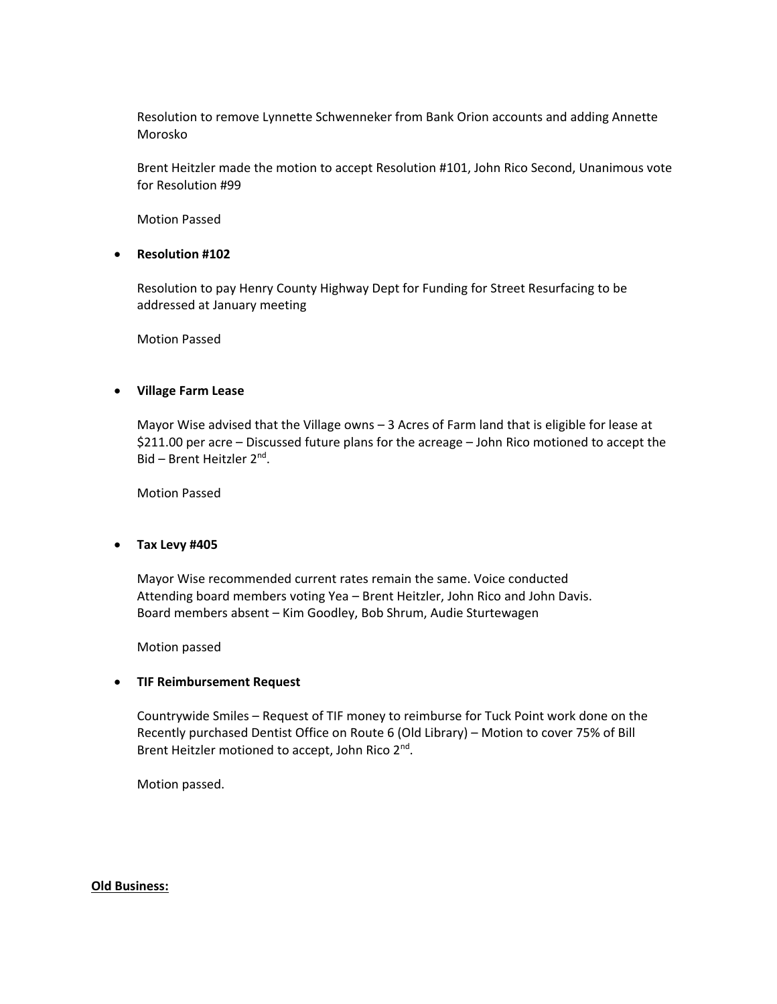Resolution to remove Lynnette Schwenneker from Bank Orion accounts and adding Annette Morosko

Brent Heitzler made the motion to accept Resolution #101, John Rico Second, Unanimous vote for Resolution #99

Motion Passed

#### **Resolution #102**

Resolution to pay Henry County Highway Dept for Funding for Street Resurfacing to be addressed at January meeting

Motion Passed

### **Village Farm Lease**

Mayor Wise advised that the Village owns – 3 Acres of Farm land that is eligible for lease at \$211.00 per acre – Discussed future plans for the acreage – John Rico motioned to accept the Bid – Brent Heitzler 2<sup>nd</sup>.

Motion Passed

#### **Tax Levy #405**

Mayor Wise recommended current rates remain the same. Voice conducted Attending board members voting Yea – Brent Heitzler, John Rico and John Davis. Board members absent – Kim Goodley, Bob Shrum, Audie Sturtewagen

Motion passed

### **TIF Reimbursement Request**

Countrywide Smiles – Request of TIF money to reimburse for Tuck Point work done on the Recently purchased Dentist Office on Route 6 (Old Library) – Motion to cover 75% of Bill Brent Heitzler motioned to accept, John Rico 2<sup>nd</sup>.

Motion passed.

#### **Old Business:**